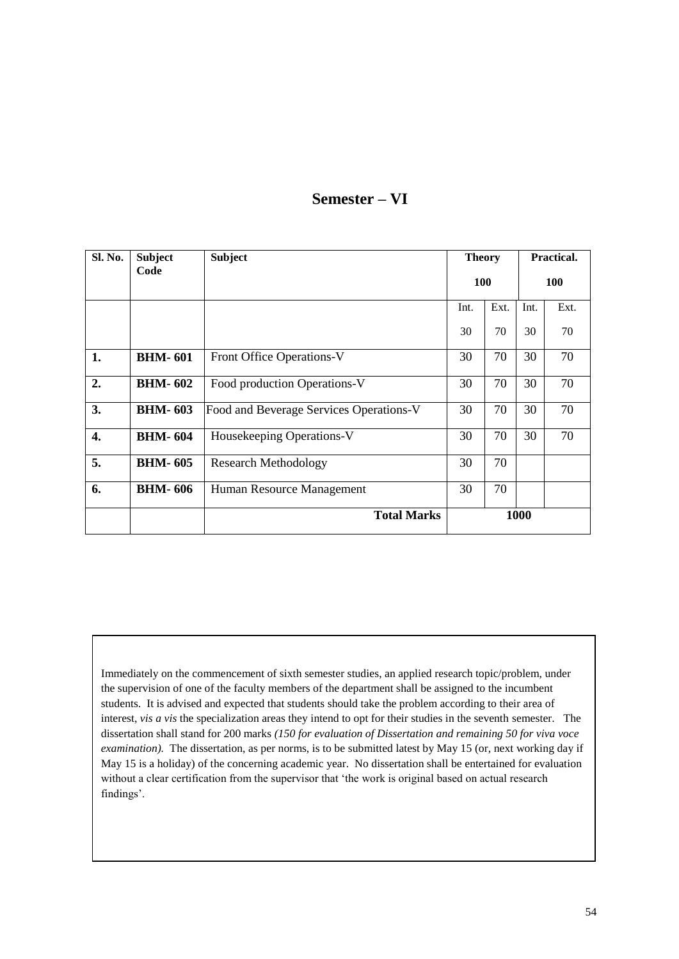# **Semester – VI**

| Sl. No. | <b>Subject</b> | <b>Subject</b>                          | <b>Theory</b> |      | Practical. |      |
|---------|----------------|-----------------------------------------|---------------|------|------------|------|
|         | Code           |                                         | <b>100</b>    |      | <b>100</b> |      |
|         |                |                                         | Int.          | Ext. | Int.       | Ext. |
|         |                |                                         | 30            | 70   | 30         | 70   |
| 1.      | <b>BHM-601</b> | Front Office Operations-V               | 30            | 70   | 30         | 70   |
| 2.      | <b>BHM-602</b> | Food production Operations-V            | 30            | 70   | 30         | 70   |
| 3.      | <b>BHM-603</b> | Food and Beverage Services Operations-V | 30            | 70   | 30         | 70   |
| 4.      | <b>BHM-604</b> | Housekeeping Operations-V               | 30            | 70   | 30         | 70   |
| 5.      | <b>BHM-605</b> | <b>Research Methodology</b>             | 30            | 70   |            |      |
| 6.      | <b>BHM-606</b> | Human Resource Management               | 30            | 70   |            |      |
|         |                | <b>Total Marks</b>                      | 1000          |      |            |      |

Immediately on the commencement of sixth semester studies, an applied research topic/problem, under the supervision of one of the faculty members of the department shall be assigned to the incumbent students. It is advised and expected that students should take the problem according to their area of interest, *vis a vis* the specialization areas they intend to opt for their studies in the seventh semester. The dissertation shall stand for 200 marks *(150 for evaluation of Dissertation and remaining 50 for viva voce examination).* The dissertation, as per norms, is to be submitted latest by May 15 (or, next working day if May 15 is a holiday) of the concerning academic year. No dissertation shall be entertained for evaluation without a clear certification from the supervisor that 'the work is original based on actual research findings'.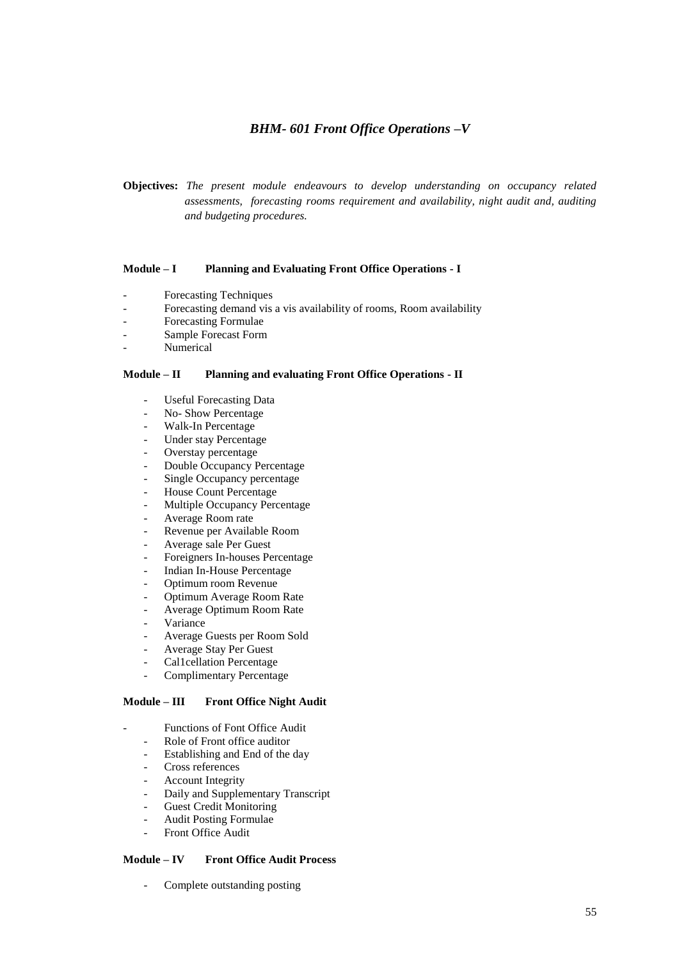# *BHM- 601 Front Office Operations –V*

**Objectives:** *The present module endeavours to develop understanding on occupancy related assessments, forecasting rooms requirement and availability, night audit and, auditing and budgeting procedures.*

# **Module – I Planning and Evaluating Front Office Operations - I**

- Forecasting Techniques
- Forecasting demand vis a vis availability of rooms, Room availability
- Forecasting Formulae
- Sample Forecast Form
- Numerical

### **Module – II Planning and evaluating Front Office Operations - II**

- Useful Forecasting Data
- No- Show Percentage
- Walk-In Percentage
- Under stay Percentage
- Overstay percentage
- Double Occupancy Percentage
- Single Occupancy percentage
- House Count Percentage
- Multiple Occupancy Percentage
- Average Room rate
- Revenue per Available Room
- Average sale Per Guest
- Foreigners In-houses Percentage
- Indian In-House Percentage
- Optimum room Revenue
- Optimum Average Room Rate
- Average Optimum Room Rate
- **Variance**
- Average Guests per Room Sold
- Average Stay Per Guest
- Cal1cellation Percentage
- Complimentary Percentage

# **Module – III Front Office Night Audit**

- Functions of Font Office Audit
	- Role of Front office auditor
	- Establishing and End of the day
	- Cross references
	- Account Integrity
	- Daily and Supplementary Transcript
	- Guest Credit Monitoring
	- Audit Posting Formulae
	- Front Office Audit

#### **Module – IV Front Office Audit Process**

Complete outstanding posting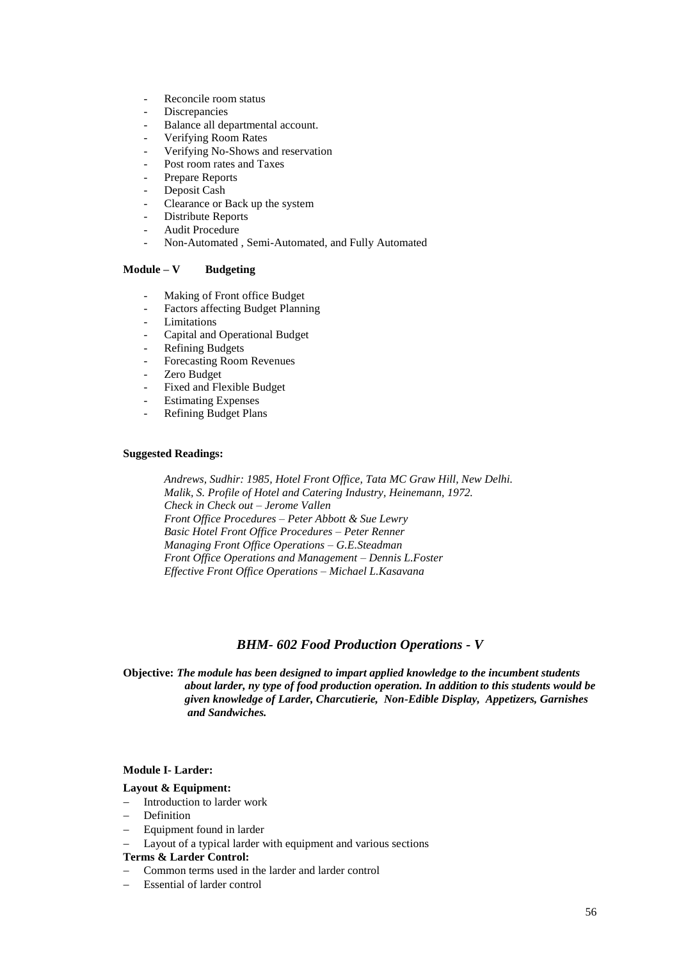- Reconcile room status
- **Discrepancies**
- Balance all departmental account.
- Verifying Room Rates
- Verifying No-Shows and reservation
- Post room rates and Taxes
- Prepare Reports
- Deposit Cash
- Clearance or Back up the system
- Distribute Reports
- Audit Procedure
- Non-Automated , Semi-Automated, and Fully Automated

# **Module – V Budgeting**

- Making of Front office Budget
- Factors affecting Budget Planning
- **Limitations**
- Capital and Operational Budget
- Refining Budgets
- Forecasting Room Revenues
- Zero Budget
- Fixed and Flexible Budget
- Estimating Expenses
- Refining Budget Plans

#### **Suggested Readings:**

*Andrews, Sudhir: 1985, Hotel Front Office, Tata MC Graw Hill, New Delhi. Malik, S. Profile of Hotel and Catering Industry, Heinemann, 1972. Check in Check out – Jerome Vallen Front Office Procedures – Peter Abbott & Sue Lewry Basic Hotel Front Office Procedures – Peter Renner Managing Front Office Operations – G.E.Steadman Front Office Operations and Management – Dennis L.Foster Effective Front Office Operations – Michael L.Kasavana*

# *BHM- 602 Food Production Operations - V*

**Objective:** *The module has been designed to impart applied knowledge to the incumbent students about larder, ny type of food production operation. In addition to this students would be given knowledge of Larder, Charcutierie, Non-Edible Display, Appetizers, Garnishes and Sandwiches.* 

#### **Module I- Larder:**

#### **Layout & Equipment:**

- Introduction to larder work
- Definition
- Equipment found in larder
- Layout of a typical larder with equipment and various sections

#### **Terms & Larder Control:**

- Common terms used in the larder and larder control
- Essential of larder control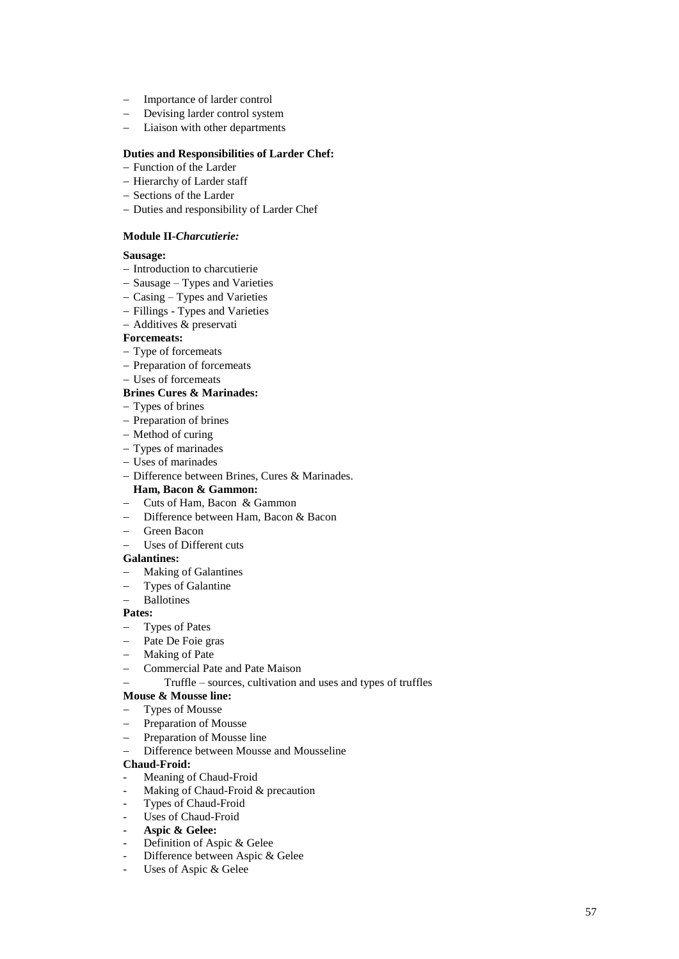- Importance of larder control
- Devising larder control system
- Liaison with other departments

# **Duties and Responsibilities of Larder Chef:**

- Function of the Larder
- Hierarchy of Larder staff
- Sections of the Larder
- Duties and responsibility of Larder Chef

# **Module II-***Charcutierie:*

# **Sausage:**

- Introduction to charcutierie
- Sausage Types and Varieties
- $-$  Casing Types and Varieties
- Fillings Types and Varieties
- Additives & preservati

# **Forcemeats:**

- Type of forcemeats
- Preparation of forcemeats
- Uses of forcemeats

# **Brines Cures & Marinades:**

- Types of brines
- Preparation of brines
- Method of curing
- Types of marinades
- Uses of marinades
- Difference between Brines, Cures & Marinades.

# **Ham, Bacon & Gammon:**

- Cuts of Ham, Bacon & Gammon
- Difference between Ham, Bacon & Bacon
- Green Bacon
- Uses of Different cuts

# **Galantines:**

- Making of Galantines
- Types of Galantine
- Ballotines

# **Pates:**

- Types of Pates
- Pate De Foie gras
- Making of Pate
- Commercial Pate and Pate Maison
- Truffle sources, cultivation and uses and types of truffles

# **Mouse & Mousse line:**

- Types of Mousse
- Preparation of Mousse
- Preparation of Mousse line
- Difference between Mousse and Mousseline

# **Chaud-Froid:**

- Meaning of Chaud-Froid
- Making of Chaud-Froid & precaution
- Types of Chaud-Froid
- Uses of Chaud-Froid
- **Aspic & Gelee:**
- Definition of Aspic & Gelee
- Difference between Aspic & Gelee
- Uses of Aspic & Gelee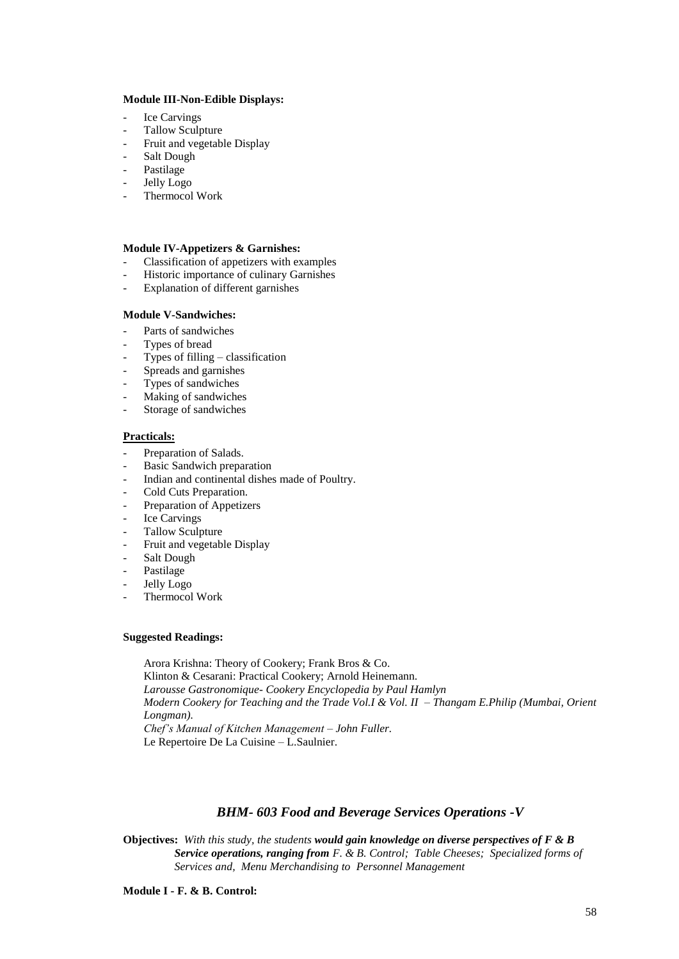### **Module III-Non-Edible Displays:**

- Ice Carvings
- Tallow Sculpture
- Fruit and vegetable Display
- Salt Dough
- Pastilage
- Jelly Logo
- Thermocol Work

### **Module IV-Appetizers & Garnishes:**

- Classification of appetizers with examples
- Historic importance of culinary Garnishes
- Explanation of different garnishes

### **Module V-Sandwiches:**

- Parts of sandwiches
- Types of bread
- Types of filling  $-$  classification
- Spreads and garnishes
- Types of sandwiches
- Making of sandwiches
- Storage of sandwiches

### **Practicals:**

- Preparation of Salads.
- Basic Sandwich preparation
- Indian and continental dishes made of Poultry.
- Cold Cuts Preparation.
- Preparation of Appetizers
- Ice Carvings
- Tallow Sculpture
- Fruit and vegetable Display
- Salt Dough
- Pastilage
- Jelly Logo
- Thermocol Work

### **Suggested Readings:**

Arora Krishna: Theory of Cookery; Frank Bros & Co. Klinton & Cesarani: Practical Cookery; Arnold Heinemann. *Larousse Gastronomique- Cookery Encyclopedia by Paul Hamlyn Modern Cookery for Teaching and the Trade Vol.I & Vol. II – Thangam E.Philip (Mumbai, Orient Longman). Chef's Manual of Kitchen Management – John Fuller.* Le Repertoire De La Cuisine – L.Saulnier.

# *BHM- 603 Food and Beverage Services Operations -V*

**Objectives:** *With this study, the students would gain knowledge on diverse perspectives of F & B Service operations, ranging from F. & B. Control; Table Cheeses; Specialized forms of Services and, Menu Merchandising to Personnel Management*

**Module I - F. & B. Control:**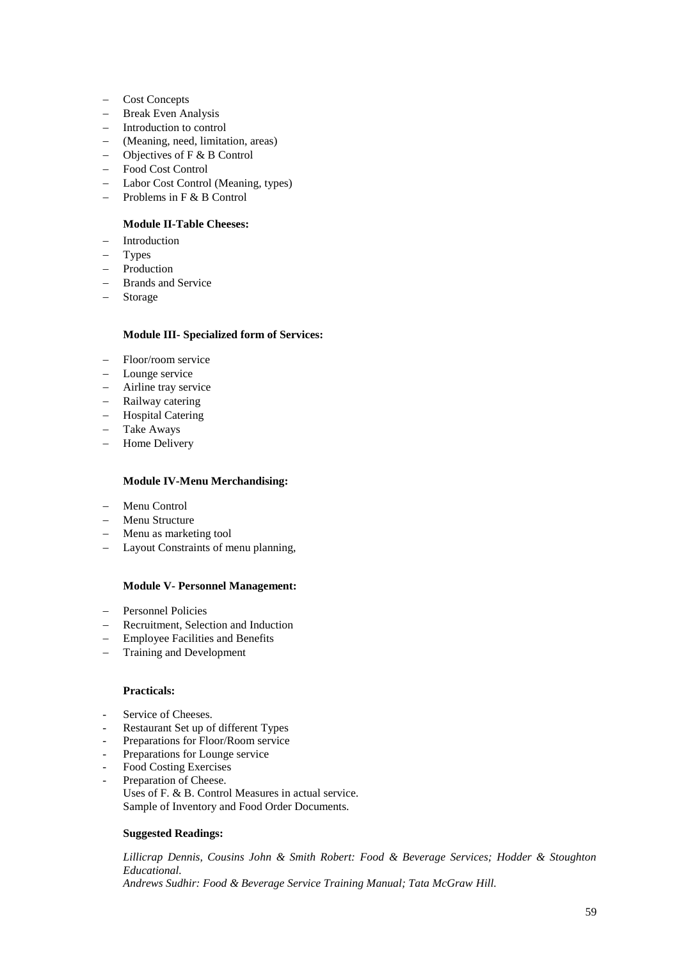- Cost Concepts
- Break Even Analysis
- Introduction to control
- (Meaning, need, limitation, areas)
- $-$  Objectives of F & B Control
- Food Cost Control
- Labor Cost Control (Meaning, types)
- $-$  Problems in F & B Control

# **Module II-Table Cheeses:**

- Introduction
- Types
- $-$  Production
- Brands and Service
- Storage

# **Module III- Specialized form of Services:**

- Floor/room service
- Lounge service
- Airline tray service
- Railway catering
- Hospital Catering
- Take Aways
- Home Delivery

# **Module IV-Menu Merchandising:**

- Menu Control
- Menu Structure
- Menu as marketing tool
- Layout Constraints of menu planning,

#### **Module V- Personnel Management:**

- Personnel Policies
- Recruitment, Selection and Induction
- Employee Facilities and Benefits
- Training and Development

#### **Practicals:**

- Service of Cheeses.
- Restaurant Set up of different Types
- Preparations for Floor/Room service
- Preparations for Lounge service
- Food Costing Exercises
- Preparation of Cheese.
	- Uses of F. & B. Control Measures in actual service. Sample of Inventory and Food Order Documents.

# **Suggested Readings:**

*Lillicrap Dennis, Cousins John & Smith Robert: Food & Beverage Services; Hodder & Stoughton Educational. Andrews Sudhir: Food & Beverage Service Training Manual; Tata McGraw Hill.*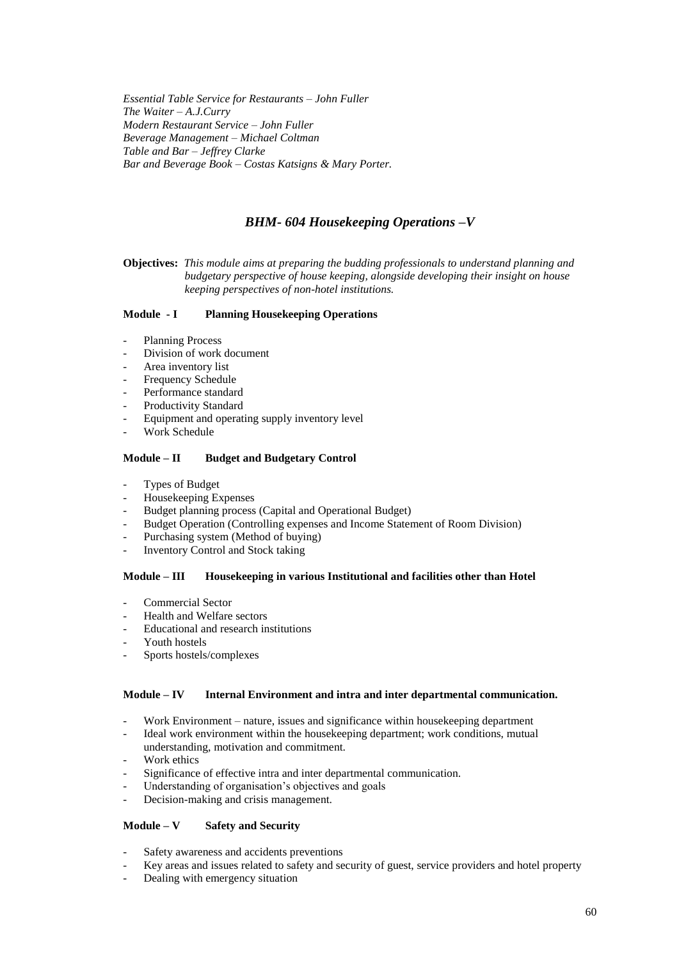*Essential Table Service for Restaurants – John Fuller The Waiter – A.J.Curry Modern Restaurant Service – John Fuller Beverage Management – Michael Coltman Table and Bar – Jeffrey Clarke Bar and Beverage Book – Costas Katsigns & Mary Porter.*

# *BHM- 604 Housekeeping Operations –V*

**Objectives:** *This module aims at preparing the budding professionals to understand planning and budgetary perspective of house keeping, alongside developing their insight on house keeping perspectives of non-hotel institutions.*

### **Module - I Planning Housekeeping Operations**

- Planning Process
- Division of work document
- Area inventory list
- Frequency Schedule
- Performance standard
- Productivity Standard
- Equipment and operating supply inventory level
- Work Schedule

### **Module – II Budget and Budgetary Control**

- Types of Budget
- Housekeeping Expenses
- Budget planning process (Capital and Operational Budget)
- Budget Operation (Controlling expenses and Income Statement of Room Division)
- Purchasing system (Method of buying)
- Inventory Control and Stock taking

#### **Module – III Housekeeping in various Institutional and facilities other than Hotel**

- Commercial Sector
- Health and Welfare sectors
- Educational and research institutions
- Youth hostels
- Sports hostels/complexes

# **Module – IV Internal Environment and intra and inter departmental communication.**

- Work Environment nature, issues and significance within housekeeping department
- Ideal work environment within the housekeeping department; work conditions, mutual understanding, motivation and commitment.
- Work ethics
- Significance of effective intra and inter departmental communication.
- Understanding of organisation's objectives and goals
- Decision-making and crisis management.

# **Module – V Safety and Security**

- Safety awareness and accidents preventions
- Key areas and issues related to safety and security of guest, service providers and hotel property
- Dealing with emergency situation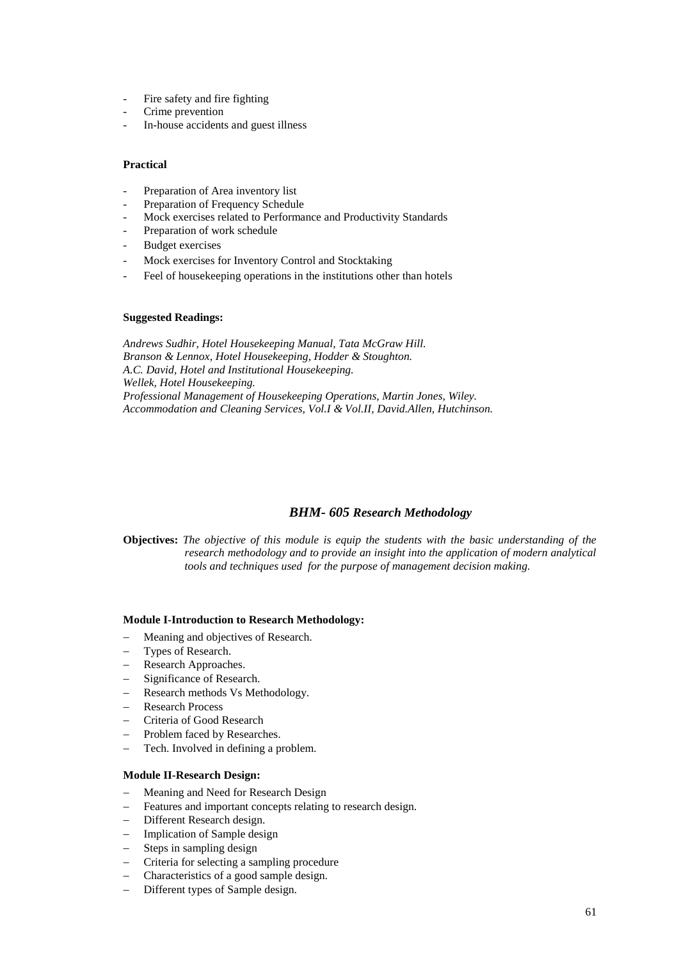- Fire safety and fire fighting
- Crime prevention
- In-house accidents and guest illness

### **Practical**

- Preparation of Area inventory list
- Preparation of Frequency Schedule
- Mock exercises related to Performance and Productivity Standards
- Preparation of work schedule
- Budget exercises
- Mock exercises for Inventory Control and Stocktaking
- Feel of housekeeping operations in the institutions other than hotels

### **Suggested Readings:**

*Andrews Sudhir, Hotel Housekeeping Manual, Tata McGraw Hill. Branson & Lennox, Hotel Housekeeping, Hodder & Stoughton. A.C. David, Hotel and Institutional Housekeeping. Wellek, Hotel Housekeeping. Professional Management of Housekeeping Operations, Martin Jones, Wiley. Accommodation and Cleaning Services, Vol.I & Vol.II, David.Allen, Hutchinson.*

# *BHM- 605 Research Methodology*

**Objectives:** *The objective of this module is equip the students with the basic understanding of the research methodology and to provide an insight into the application of modern analytical tools and techniques used for the purpose of management decision making.*

#### **Module I-Introduction to Research Methodology:**

- Meaning and objectives of Research.
- Types of Research.
- Research Approaches.
- Significance of Research.
- Research methods Vs Methodology.
- Research Process
- Criteria of Good Research
- Problem faced by Researches.
- Tech. Involved in defining a problem.

#### **Module II-Research Design:**

- Meaning and Need for Research Design
- Features and important concepts relating to research design.
- Different Research design.
- Implication of Sample design
- Steps in sampling design
- Criteria for selecting a sampling procedure
- Characteristics of a good sample design.
- Different types of Sample design.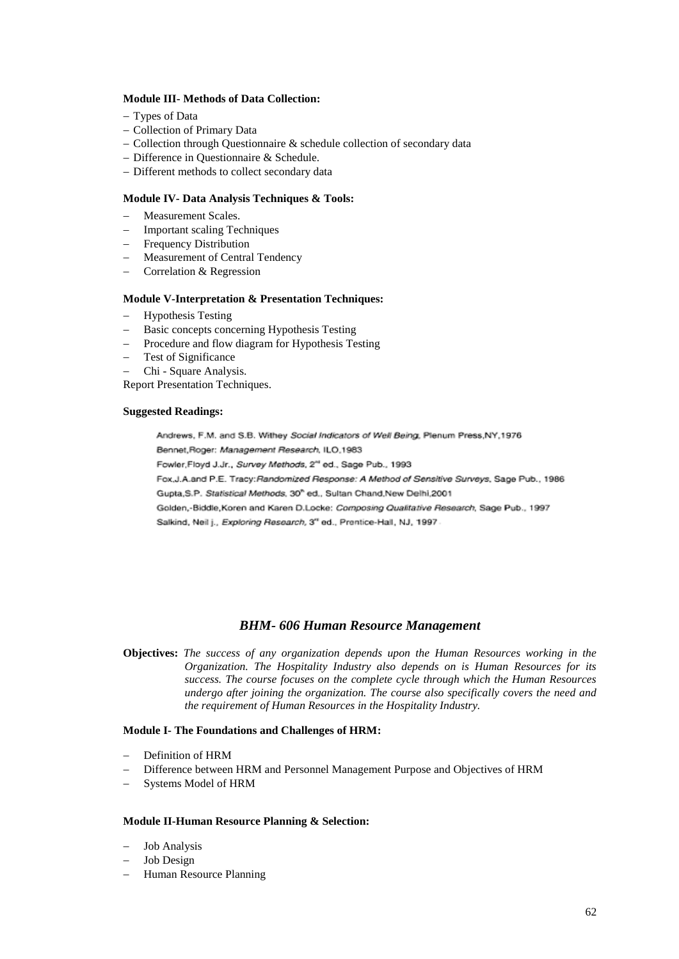#### **Module III- Methods of Data Collection:**

- Types of Data
- Collection of Primary Data
- $-$  Collection through Questionnaire  $\&$  schedule collection of secondary data
- Difference in Questionnaire & Schedule.
- Different methods to collect secondary data

# **Module IV- Data Analysis Techniques & Tools:**

- Measurement Scales.
- Important scaling Techniques
- Frequency Distribution
- Measurement of Central Tendency
- Correlation & Regression

#### **Module V-Interpretation & Presentation Techniques:**

- Hypothesis Testing
- Basic concepts concerning Hypothesis Testing
- Procedure and flow diagram for Hypothesis Testing
- Test of Significance
- Chi Square Analysis.

Report Presentation Techniques.

#### **Suggested Readings:**

Andrews, F.M. and S.B. Withey Social Indicators of Well Being, Plenum Press.NY.1976 Bennet, Roger: Management Research, ILO, 1983

Fowler, Floyd J.Jr., Survey Methods, 2<sup>44</sup> ed., Sage Pub., 1993

Fox, J.A.and P.E. Tracy: Randomized Response: A Method of Sensitive Surveys, Sage Pub., 1986 Gupta, S.P. Statistical Methods, 30<sup>th</sup> ed., Sultan Chand, New Delhi, 2001

Golden,-Biddle, Koren and Karen D.Locke: Composing Qualitative Research, Sage Pub., 1997 Salkind, Neil j., Exploring Research, 3" ed., Prentice-Hall, NJ, 1997.

# *BHM- 606 Human Resource Management*

**Objectives:** *The success of any organization depends upon the Human Resources working in the Organization. The Hospitality Industry also depends on is Human Resources for its success. The course focuses on the complete cycle through which the Human Resources undergo after joining the organization. The course also specifically covers the need and the requirement of Human Resources in the Hospitality Industry.*

### **Module I- The Foundations and Challenges of HRM:**

- Definition of HRM
- Difference between HRM and Personnel Management Purpose and Objectives of HRM
- Systems Model of HRM

#### **Module II-Human Resource Planning & Selection:**

- Job Analysis
- Job Design
- Human Resource Planning